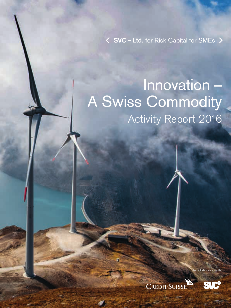**SVC – Ltd.** for Risk Capital for SMEs

## Innovation – A Swiss Commodity Activity Report 2016

**CREDIT SUISSE** 

 $\overline{6}$ 

In collaboration with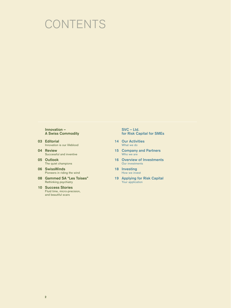## **CONTENTS**

#### **Innovation – A Swiss Commodity**

- **03 Editorial** Innovation is our lifeblood
- **04 Review** Successful and inventive
- **05 Outlook** The quiet champions
- **06 SwissWinds** Pioneers in riding the wind
- **08 Gammed SA "Les Toises"** Rethinking psychiatry
- **10 Success Stories** Fluid time, micro-precision, and beautiful scars

#### **SVC – Ltd. for Risk Capital for SMEs**

- **14 Our Activities** What we do
- **15 Company and Partners** Who we are
- **16 Overview of Investments** Our investments
- **18 Investing** How we invest
- **19 Applying for Risk Capital** Your application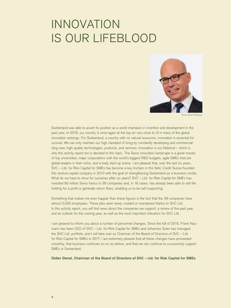## INNOVATION IS OUR LIFEBLOOD



Photo: Rainer Wolfsberger

Switzerland was able to assert its position as a world champion in invention and development in the past year. In 2016, our country is once again at the top (or very close to it) in many of the global innovation rankings. For Switzerland, a country with no natural resources, innovation is essential for survival: We can only maintain our high standard of living by constantly developing and commercializing new, high-quality technologies, products, and services. Innovation is our lifeblood – which is why this activity report too is devoted to this topic. The Swiss innovation landscape is a great mosaic of top universities, major corporations with the world's biggest R&D budgets, agile SMEs that are global leaders in their niche, and a lively start-up scene. I am pleased that, over the last six years, SVC – Ltd. for Risk Capital for SMEs has become a key linchpin in this field. Credit Suisse founded this venture capital company in 2010 with the goal of strengthening Switzerland as a business center. What do we have to show for ourselves after six years? SVC – Ltd. for Risk Capital for SMEs has invested 90 million Swiss francs in 39 companies and, in 16 cases, has already been able to sell the holding for a profit or generate return flows, enabling us to be self-supporting.

Something that makes me even happier than these figures is the fact that the 39 companies have almost 2,000 employees. These jobs were newly created or maintained thanks to SVC Ltd. In this activity report, you will find news about the companies we support, a review of the past year, and an outlook for the coming year, as well as the most important indicators for SVC Ltd.

I am pleased to inform you about a number of personnel changes. Since the fall of 2015, Frank Naumann has been CEO of SVC – Ltd. for Risk Capital for SMEs and Johannes Suter has managed the SVC Ltd. portfolio, and I will take over as Chairman of the Board of Directors of SVC – Ltd. for Risk Capital for SMEs in 2017. I am extremely pleased that all these changes have proceeded smoothly, that business continues to run as before, and that we can continue to successfully support SMEs in Switzerland.

**Didier Denat, Chairman of the Board of Directors of SVC – Ltd. for Risk Capital for SMEs**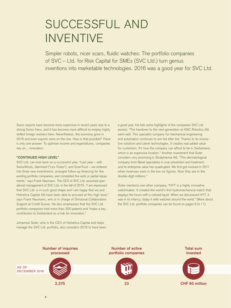## SUCCESSFUL AND INVENTIVE

Simpler robots, nicer scars, fluidic watches: The portfolio companies of SVC – Ltd. for Risk Capital for SMEs (SVC Ltd.) turn genius inventions into marketable technologies. 2016 was a good year for SVC Ltd.

Swiss exports have become more expensive in recent years due to a strong Swiss franc, and it has become more difficult to employ highly skilled foreign workers here. Nevertheless, the economy grew in 2016 and even exports were on the rise. How is that possible? There is only one answer: To optimize income and expenditures, companies rely on... innovation.

#### **"CONTINUED HIGH LEVEL"**

SVC Ltd. can look back on a successful year. "Last year – with SwissWinds, Gammed ("Les Toises"), and ScanTrust – we entered into three new investments, arranged follow-up financing for five existing portfolio companies, and completed five exits or partial repayments," says Frank Naumann. The CEO of SVC Ltd. assumed operational management of SVC Ltd. in the fall of 2015. "I am impressed that SVC Ltd. is in such good shape and I am happy that we and Helvetica Capital AG have been able to proceed at this high level," says Frank Naumann, who is in charge of Divisional Collaboration Support at Credit Suisse. He also emphasizes that the SVC Ltd. portfolio companies hold more than 300 patents and "make a key contribution to Switzerland as a hub for innovation."

Johannes Suter, who is the CEO of Helvetica Capital and helps manage the SVC Ltd. portfolio, also considers 2016 to have been a good year. He lists some highlights of the companies SVC Ltd. assists: "The handover to the next generation at ASIC Robotics AG went well. This specialist company for mechanical engineering and automation continues to win bid after bid. Thanks to its innovative solutions and clever technologies, it creates real added value for customers. It's how the company can afford to be in Switzerland, which is an expensive location." Another investment that Suter considers very promising is Stratpharma AG. "This dermatological company from Basel specializes in scar prevention and treatment, and its enterprise value has quadrupled. We first got involved in 2011 when revenues were in the low six figures. Now they are in the double-digit millions."

Suter mentions one other company. "HYT is a highly innovative watchmaker. It created the world's first hydromechanical watch that displays the hours with a colored liquid. When we discovered HYT, it was in its infancy; today it sells watches around the world." (More about the SVC Ltd. portfolio companies can be found on pages 6 to 11).



**Number of active portfolio companies** 



**Total sum invested** 



AS OF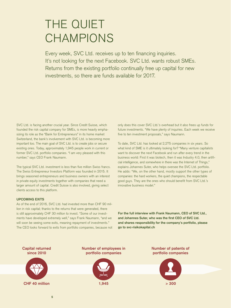## THE QUIET CHAMPIONS

Every week, SVC Ltd. receives up to ten financing inquiries. It's not looking for the next Facebook. SVC Ltd. wants robust SMEs. Returns from the existing portfolio continually free up capital for new investments, so there are funds available for 2017.

SVC Ltd. is facing another crucial year. Since Credit Suisse, which founded the risk capital company for SMEs, is more heavily emphasizing its role as the "Bank for Entrepreneurs" in its home market Switzerland, the bank's involvement with SVC Ltd. is becoming more important too. The main goal of SVC Ltd. is to create jobs or secure existing ones. Today, approximately 1,945 people work in current or former SVC Ltd. portfolio companies. "I am very pleased with this number," says CEO Frank Naumann.

The typical SVC Ltd. investment is less than five million Swiss francs. The Swiss Entrepreneur Investors Platform was founded in 2015. It brings seasoned entrepreneurs and business owners with an interest in private equity investments together with companies that need a larger amount of capital. Credit Suisse is also involved, giving select clients access to this platform.

#### **UPCOMING EXITS**

As of the end of 2016, SVC Ltd. had invested more than CHF 90 million in risk capital; thanks to the returns that were generated, there is still approximately CHF 30 million to invest. "Some of our investments have developed extremely well," says Frank Naumann, "and we will soon be seeing some exits, meaning repayment of investments." The CEO looks forward to exits from portfolio companies, because not only does this cover SVC Ltd.'s overhead but it also frees up funds for future investments. "We have plenty of inquiries. Each week we receive five to ten investment proposals," says Naumann.

To date, SVC Ltd. has looked at 2,275 companies in six years. So what kind of SME is it ultimately looking for? "Many venture capitalists want to discover the next Facebook and run after every trend in the business world: First it was biotech, then it was Industry 4.0, then artificial intelligence, and somewhere in there was the Internet of Things," explains Johannes Suter, who helps oversee the SVC Ltd. portfolio. He adds: "We, on the other hand, mostly support the other types of companies: the hard workers, the quiet champions, the respectable good guys. They are the ones who should benefit from SVC Ltd.'s innovative business model."

**For the full interview with Frank Naumann, CEO of SVC Ltd.,**  and Johannes Suter, who was the first CEO of SVC Ltd. **and shares responsibility for the company's portfolio, please go to svc-risikokapital.ch**

**Capital returned since 2010**



**Number of employees in portfolio companies** 



**Number of patents of portfolio companies** 

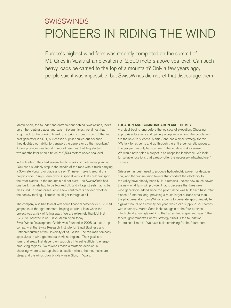### SWISSWINDS PIONEERS IN RIDING THE WIND

Europe's highest wind farm was recently completed on the summit of Mt. Gries in Valais at an elevation of 2,500 meters above sea level. Can such heavy loads be carried to the top of a mountain? Only a few years ago, people said it was impossible, but SwissWinds did not let that discourage them.

Martin Senn, the founder and entrepreneur behind SwissWinds, looks up at the rotating blades and says, "Several times, we almost had to go back to the drawing board. Just prior to construction of the first pilot generator in 2011, our chosen supplier pulled out because they doubted our ability to transport the generator up the mountain." A new producer was found in record time, and building started two months later at an altitude of 2,500 meters above sea level.

In the lead-up, they had several hectic weeks of meticulous planning. "You can't suddenly stop in the middle of the road with a truck carrying a 35-meter-long rotor blade and say, 'I'll never make it around this hairpin curve,'" says Senn dryly. A special vehicle that could transport the rotor blades up the mountain did not exist – so SwissWinds had one built. Tunnels had to be blocked off, and village streets had to be measured. In some cases, only a few centimeters decided whether the convoy totaling 11 trucks could get through at all.

The company also had to deal with some financial bottlenecks. "SVC Ltd. jumped in at the right moment, helping us with a loan when the project was at risk of falling apart. We are extremely thankful that SVC Ltd. believed in us," says Martin Senn today. SwissWinds Development GmbH was founded in 2008 as a start-up company at the Swiss Research Institute for Small Business and Entrepreneurship at the University of St. Gallen. The ten-man company specializes in wind generators in Alpine regions. Their goal is to turn rural areas that depend on subsidies into self-sufficient, energyproducing regions. SwissWinds made a strategic decision in choosing where to set up shop: a location where the mountains are steep and the winds blow briskly – near Sion, in Valais.

#### **LOCATION AND COMMUNICATION ARE THE KEY**

A project begins long before the logistics of execution. Choosing appropriate locations and gaining acceptance among the population are the keys to success. Martin Senn has a clear strategy for this: "We talk to residents and go through the entire democratic process. The people can only be won over if the location makes sense. We would never plan a project in an unspoiled landscape. We look for suitable locations that already offer the necessary infrastructure," he says.

Griessee has been used to produce hydroelectric power for decades now, and the transmission towers that conduct the electricity to the valley have already been built. It remains unclear how much power the new wind farm will provide. That is because the three new wind generators added since the pilot turbine was built each have rotor blades 45 meters long, providing a much larger surface area than the pilot generator. SwissWinds expects to generate approximately ten gigawatt hours of electricity per year, which can supply 2,850 homes with electricity. Martin Senn looks up again at the four turbines, which blend amazingly well into the barren landscape, and says, "The federal government's Energy Strategy 2050 is the foundation for projects like this. We have built something for the future here."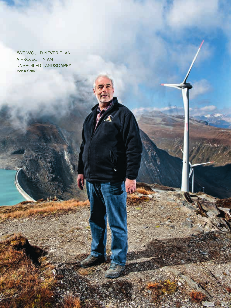"WE WOULD NEVER PLAN A PROJECT IN AN UNSPOILED LANDSCAPE!" Martin Senn

**7**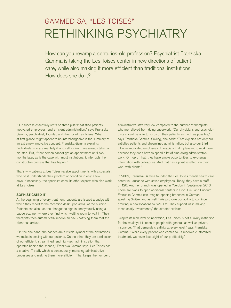## GAMMED SA, "LES TOISES" RETHINKING PSYCHIATRY

How can you revamp a centuries-old profession? Psychiatrist Franziska Gamma is taking the Les Toises center in new directions of patient care, while also making it more efficient than traditional institutions. How does she do it?

"Our success essentially rests on three pillars: satisfied patients, motivated employees, and efficient administration," says Franziska Gamma, psychiatrist, founder, and director of Les Toises. What at first glance might appear to be interchangeable is the summary of an extremely innovative concept. Franziska Gamma explains: "Individuals who are mentally ill and call a clinic have already taken a big step. But, if that person cannot get an appointment until two months later, as is the case with most institutions, it interrupts the constructive process that has begun."

That's why patients at Les Toises receive appointments with a specialist who best understands their problem or condition in only a few days. If necessary, the specialist consults other experts who also work at Les Toises.

#### **SOPHISTICATED IT**

At the beginning of every treatment, patients are issued a badge with which they report to the reception desk upon arrival at the building. Patients can also use their badges to sign in anonymously using a badge scanner, where they find which waiting room to wait in. Their therapists then automatically receive an SMS notifying them that the client has arrived.

"On the one hand, the badges are a visible symbol of the distinctions we make in dealing with our patients. On the other, they are a reflection of our efficient, streamlined, and high-tech administration that operates behind the scenes," Franziska Gamma says. Les Toises has a creative IT staff, which is continuously improving administrative processes and making them more efficient. That keeps the number of

administrative staff very low compared to the number of therapists, who are relieved from doing paperwork. "Our physicians and psychologists should be able to focus on their patients as much as possible," says Franziska Gamma. Smiling, she adds: "That explains not only our satisfied patients and streamlined administration, but also our third pillar — motivated employees. Therapists find it pleasant to work here because they don't have to spend a lot of time doing administrative work. On top of that, they have ample opportunities to exchange information with colleagues. And that has a positive effect on their work with clients."

In 2009, Franziska Gamma founded the Les Toises mental health care center in Lausanne with seven employees. Today, they have a staff of 120. Another branch was opened in Yverdon in September 2016. There are plans to open additional centers in Sion, Biel, and Fribourg. Franziska Gamma can imagine opening branches in Germanspeaking Switzerland as well. "We also owe our ability to continue growing in new locations to SVC Ltd. They support us in making these costly investments," the director explains.

Despite its high level of innovation, Les Toises is not a luxury institution for the wealthy; it is open to people with general, as well as private, insurance. "That demands creativity at every level," says Franziska Gamma. "While every patient who comes to us receives customized treatment, we never lose sight of our profitability."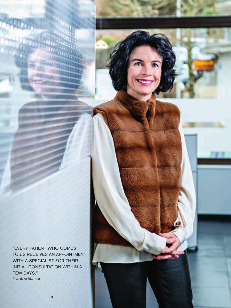"EVERY PATIENT WHO COMES TO US RECEIVES AN APPOINTMENT WITH A SPECIALIST FOR THEIR INITIAL CONSULTATION WITHIN A FEW DAYS." Franziska Gamma

**9**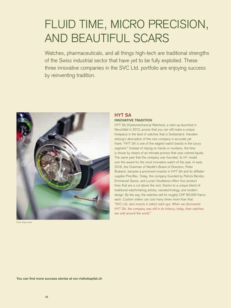## FLUID TIME, MICRO PRECISION, AND BEAUTIFUL SCARS

Watches, pharmaceuticals, and all things high-tech are traditional strengths of the Swiss industrial sector that have yet to be fully exploited. These three innovative companies in the SVC Ltd. portfolio are enjoying success by reinventing tradition.



Photo: Robert Aebli

#### **HYT SA INNOVATIVE TRADITION**

HYT SA (Hydromechanical Watches), a start-up launched in Neuchâtel in 2012, proves that you can still make a unique timepiece in the land of watches that is Switzerland. Handelszeitung's description of the new company is accurate yet frank: "HYT SA is one of the edgiest watch brands in the luxury segment." Instead of relying on hands or numbers, the time is shown by means of an intricate process that uses colored liquids. The same year that the company was founded, its H1 model won the award for the most innovative watch of the year. In early 2016, the Chairman of Nestlé's Board of Directors, Peter Brabeck, became a prominent investor in HYT SA and its affiliate/ supplier Preciflex. Today, the company founded by Patrick Berdoz, Emmanuel Savioz, and Lucien Vouillamoz offers four product lines that are a cut above the rest, thanks to a unique blend of traditional watchmaking artistry, nanotechnology, and modern design. By the way, the watches sell for roughly CHF 90,000 francs each. Custom orders can cost many times more than that. "SVC Ltd. also invests in select start-ups: When we discovered HYT SA, the company was still in its infancy; today, their watches are sold around the world."

You can find more success stories at svc-risikokapital.ch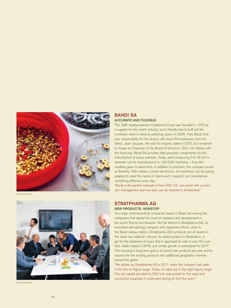

Foto: Marion Nitsch



Photo: Robert Aebli

#### **BANDI SA ACCURATE AND FLEXIBLE**

This SME headquartered in Delémont (Jura) was founded in 1970 as a supplier for the watch industry, and it literally had to buff out the scratches when it came to polishing cases. In 2005, Yves Bandi took over responsibility for the factory with about 50 employees from his father, Jean-Jacques. He sold his majority stake in 2015, but remained in charge as Chairman of the Board of Directors. SVC Ltd. helped with the financing. Bandi SA provides high-precision components for the manufacture of luxury watches. Today, parts measuring 0.4–16 mm in diameter can be manufactured on 130 CNC machines – from the smallest gears to band links. In addition to precision, the company excels at flexibility: With modern control electronics, its machinery can be quickly adapted to meet the needs of clients and if required, can manufacture something different every day.

"Bandi is the perfect example of how SVC Ltd. can assist with succes sion management and how jobs can be retained in Switzerland."

#### **STRATPHARMA AG NEW PRODUCTS, NONSTOP**

Two major pharmaceutical companies based in Basel are among the companies that spend the most on research and development in the world: Roche and Novartis. Not far behind is Stratpharma AG, an innovative dermatology company with registered offices close to the Basel railway station. Stratpharma AG's products are all based on the same raw material: silicone. Its oldest product is Strataderm, a gel for the treatment of scars that is approved for sale in over 40 coun tries. Sales tripled in 2016, and similar growth is anticipated for 2017. The company's long-term goal is to launch two products per year and to expand the five existing products into additional geographic markets around the globe.

"We picked up Stratpharma AG in 2011, when the company had sales in the low six-figure range. Today, its sales are in the eight-figure range. The risk capital provided by SVC Ltd. was pivotal for the rapid and successful expansion it underwent during its first few years."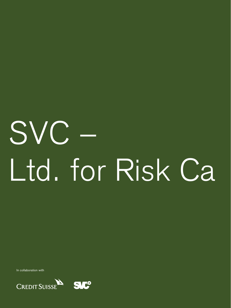# SVC – Ltd. for Risk Ca

In collaboration with

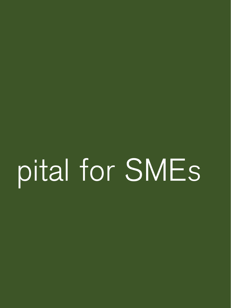## pital for SMEs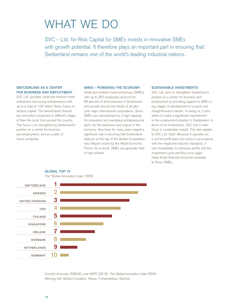## WHAT WE DO

SVC – Ltd. for Risk Capital for SMEs invests in innovative SMEs with growth potential. It therefore plays an important part in ensuring that Switzerland remains one of the world's leading industrial nations.

#### **SWITZERLAND AS A CENTER FOR BUSINESS AND EMPLOYMENT**

SVC Ltd. provides small and medium-sized enterprises and young entrepreneurs with up to a total of 100 million Swiss francs in venture capital. The beneficiaries thereof are innovative companies in different stages of their life cycle from around the country. The focus is on strengthening Switzerland's position as a center for business and employment, and as a pillar of Swiss prosperity.

**GLOBAL TOP 10**

#### **SMES – POWERING THE ECONOMY**

Small and medium-sized enterprises (SMEs) with up to 250 employees account for 99 percent of all businesses in Switzerland and provide around two-thirds of all jobs. Like major international corporations, Swiss SMEs are characterized by a high capacity for innovation and exemplary entrepreneurial spirit. As the backbone and engine of the economy, they have for many years played a significant role in ensuring that Switzerland features at the top of the Global Competitiveness Report issued by the World Economic Forum. As a result, SMEs are generally held in high esteem.

#### **SUSTAINABLE INVESTMENTS**

SVC Ltd. aims to strengthen Switzerland's position as a center for business and employment by providing support to SMEs in key stages of development in a quick and straightforward manner. In doing so, it also seeks to make a significant improvement to the employment situation in Switzerland. In terms of its investments, SVC Ltd.'s main focus is sustainable impact. This also applies to SVC Ltd. itself. Because it operates on a not-for-profit basis but works in accordance with the respective industry standards, it can immediately re-introduce profits into the investment cycle and thus once again make these financial resources available to Swiss SMEs.



Cornell University, INSEAD, and WIPO (2016): The Global Innovation Index 2016: Winning with Global Innovation, Ithaca, Fontainebleau, Geneva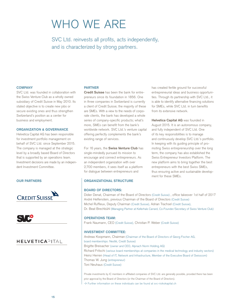## WHO WE ARE

SVC Ltd. reinvests all profits, acts independently, and is characterized by strong partners.

#### **COMPANY**

SVC Ltd. was founded in collaboration with the Swiss Venture Club as a wholly owned subsidiary of Credit Suisse in May 2010. Its stated objective is to create new jobs or secure existing ones and thus strengthen Switzerland's position as a center for business and employment.

#### **ORGANIZATION & GOVERNANCE**

Helvetica Capital AG has been responsible for investment portfolio management on behalf of SVC Ltd. since September 2015. The company is managed at the strategic level by a broadly based Board of Directors that is supported by an operations team. Investment decisions are made by an independent Investment Committee.





### **HELVETICAPITAL**

#### **PARTNER**

**Credit Suisse** has been the bank for entrepreneurs since its foundation in 1856. One in three companies in Switzerland is currently a client of Credit Suisse; the majority of these are SMEs. With a view to the needs of corporate clients, the bank has developed a whole series of company-specific products; what's more, SMEs can benefit from the bank's worldwide network. SVC Ltd.'s venture capital offering perfectly complements the bank's existing range of services.

For 16 years, the **Swiss Venture Club** has single-mindedly pursued its mission to encourage and connect entrepreneurs. As an independent organization with over 2,700 members, it sees itself as a platform for dialogue between entrepreneurs and

#### **OUR PARTNERS COUR PARTNERS**

#### **BOARD OF DIRECTORS:**

Didier Denat, Chairman of the Board of Directors (Credit Suisse) , office takeover 1st half of 2017 André Helfenstein, previous Chairman of the Board of Directors (Credit Suisse) Michel Ruffieux, Deputy Chairman (Credit Suisse), Adrian Trachsel (Credit Suisse), Dr. Beat Brechbühl (Managing Partner at Kellerhals Carrard, Co-Founder/Secretary of Swiss Venture Club)

#### **OPERATIONS TEAM:**

Frank Naumann, CEO (Credit Suisse), Christian P. Weber (Credit Suisse)

#### **INVESTMENT COMMITTEE:**

Andreas Koopmann, Chairman (Chairman of the Board of Directors of Georg Fischer AG, board memberships: Nestlé, Credit Suisse) Brigitte Breisacher (owner and CEO, Alpnach Norm Holding AG) Richard Fritschi (various board memberships at companies in the medical technology and industry sectors) Heinz Herren (Head of IT, Network and Infrastructure, Member of the Executive Board of Swisscom) Thomas W. Jung (entrepreneur) Toni Neuhaus (Credit Suisse)

Private investments by IC members in affiliated companies of SVC Ltd. are generally possible, provided there has been prior approval by the Board of Directors (or the Chairman of the Board of Directors).  $\rightarrow$  Further information on these individuals can be found at svc-risikokapital.ch

has created fertile ground for successful entrepreneurial ideas and business opportunities. Through its partnership with SVC Ltd., it is able to identify alternative financing solutions for SMEs, while SVC Ltd. in turn benefits from its extensive network.

**Helvetica Capital AG** was founded in August 2015. It is an autonomous company, and fully independent of SVC Ltd. One of its key responsibilities is to manage and continuously develop SVC Ltd.'s portfolio. In keeping with its guiding principle of promoting Swiss entrepreneurship over the long term, the company has also established the Swiss Entrepreneur Investors Platform. The new platform aims to bring together the best entrepreneurs with the best Swiss SMEs, thus ensuring active and sustainable development for these SMEs.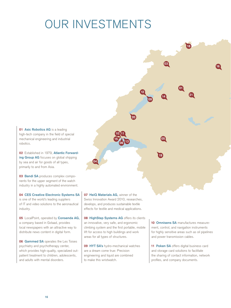## OUR INVESTMENTS

**01 Asic Robotics AG** is a leading high-tech company in the field of special mechanical engineering and industrial robotics.

**02** Established in 1979, **Atlantic Forwarding Group AG** focuses on global shipping by sea and air for goods of all types, primarily to and from Asia.

**03 Bandi SA** produces complex components for the upper segment of the watch industry in a highly automated environment.

**04 CES Creative Electronic Systems SA** is one of the world's leading suppliers of IT and video solutions to the aeronautical industry.

**05** LocalPoint, operated by **Consenda AG,** a company based in Gstaad, provides local newspapers with an attractive way to distribute news content in digital form.

**06 Gammed SA** operates the Les Toises psychiatry and psychotherapy center, which provides high-quality, specialized outpatient treatment to children, adolescents, and adults with mental disorders.

**07 HeiQ Materials AG,** winner of the Swiss Innovation Award 2010, researches, develops, and produces sustainable textile effects for textile and medical applications.

**10 11**

**<sup>13</sup> <sup>06</sup>**

**15**

**04**

**08 HighStep Systems AG** offers its clients an innovative, very safe, and ergonomic climbing system and the first portable, mobile lift for access to high buildings and work areas for all types of structures.

**09 HYT SA's** hydro-mechanical watches are a dream come true: Precision engineering and liquid are combined to make this wristwatch.

**10 Omnisens SA** manufactures measurement, control, and navigation instruments for highly sensitive areas such as oil pipelines and power transmission cables.

**01**

**21**

**16**

**18**

**03**

**05**

**19**

**14**

**09**

**12**

**20**

**11 Poken SA** offers digital business card and storage card solutions to facilitate the sharing of contact information, network profiles, and company documents.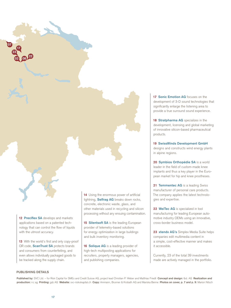

**12 Preciflex SA** develops and markets applications based on a patented technology that can control the flow of liquids with the utmost accuracy.

**13** With the world's first and only copy-proof QR code, **ScanTrust SA** protects brands and consumers from counterfeiting, and even allows individually packaged goods to be tracked along the supply chain.

14 Using the enormous power of artificial lightning, **Selfrag AG** breaks down rocks, concrete, electronic waste, glass, and other materials used in recycling and silicon processing without any ensuing contamination.

**15 Silentsoft SA** is the leading European provider of telemetry-based solutions for energy optimization in large buildings and bulk inventory monitoring.

**16 Solique AG** is a leading provider of high-tech multiposting applications for recruiters, property managers, agencies, and publishing companies.

**17 Sonic Emotion AG** focuses on the development of 3-D sound technologies that significantly enlarge the listening area to provide a true surround sound experience.

**18 Stratpharma AG** specializes in the development, licensing and global marketing of innovative silicon-based pharmaceutical products.

**19 SwissWinds Development GmbH** designs and constructs wind energy plants in alpine regions.

**20 Symbios Orthopédie SA** is a world leader in the field of custom-made knee implants and thus a key player in the European market for hip and knee prostheses.

**21 Temmentec AG** is a leading Swiss manufacturer of personal care products. The company applies the latest technologies and expertise.

**22 WeiTec AG** is specialized in tool manufacturing for leading European automotive industry OEMs using an innovative, cross-border business model.

**23 xtendx AG's** Simplex Media Suite helps companies edit multimedia content in a simple, cost-effective manner and makes it accessible.

Currently, 23 of the total 39 investments made are actively managed in the portfolio.

#### **PUBLISHING DETAILS**

**Published by:** SVC Ltd. – for Risk Capital for SMEs and Credit Suisse AG, project lead Christian P. Weber and Matthias Friedli **Concept and design:** tbd. AG **Realization and production:** n c ag **Printing:** gdz AG **Website:** svc-risikokapital.ch **Copy:** Ammann, Brunner & Krobath AG and Mariska Beirne **Photos on cover, p. 7 and p. 9:** Marion Nitsch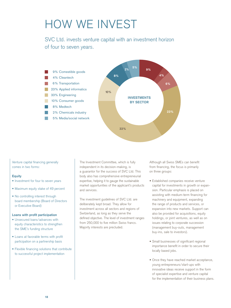## HOW WE INVEST

SVC Ltd. invests venture capital with an investment horizon of four to seven years.



Venture capital financing generally comes in two forms:

#### **Equity**

- Investment for four to seven years
- Maximum equity stake of 49 percent
- No controlling interest through board membership (Board of Directors or Executive Board)

#### **Loans with profit participation**

- Unsecured loans/advances with equity characteristics to strengthen the SME's funding structure
- Loans at favorable terms with profit participation on a partnership basis
- Flexible financing solutions that contribute to successful project implementation

The Investment Committee, which is fully independent in its decision-making, is a guarantor for the success of SVC Ltd. This body also has comprehensive entrepreneurial expertise, helping it to gauge the sustainable market opportunities of the applicant's products and services.

The investment guidelines of SVC Ltd. are deliberately kept broad. They allow for investment across all sectors and regions of Switzerland, as long as they serve the defined objective. The level of investment ranges from 250,000 to five million Swiss francs. Majority interests are precluded.

Although all Swiss SMEs can benefit from financing, the focus is primarily on three groups:

- Established companies receive venture capital for investments in growth or expansion. Particular emphasis is placed on assisting with medium-term financing for machinery and equipment, expanding the range of products and services, or expansion into new markets. Support can also be provided for acquisitions, equity holdings, or joint ventures, as well as on issues relating to corporate succession (management buy-outs, management buy-ins, sale to investors).
- Small businesses of significant regional importance benefit in order to secure their locally based jobs.
- Once they have reached market acceptance, young entrepreneurs/start-ups with innovative ideas receive support in the form of specialist expertise and venture capital for the implementation of their business plans.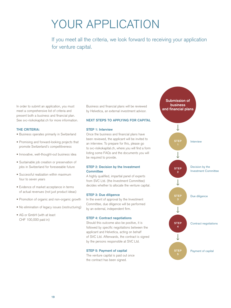## YOUR APPLICATION

If you meet all the criteria, we look forward to receiving your application for venture capital.

In order to submit an application, you must meet a comprehensive list of criteria and present both a business and financial plan. See svc-risikokapital.ch for more information.

#### **THE CRITERIA:**

- Business operates primarily in Switzerland
- Promising and forward-looking projects that promote Switzerland's competitiveness
- Innovative, well-thought-out business idea
- Sustainable job creation or preservation of jobs in Switzerland for foreseeable future
- Successful realization within maximum four to seven years
- Evidence of market acceptance in terms of actual revenues (not just product ideas)
- Promotion of organic and non-organic growth
- No elimination of legacy issues (restructuring)
- AG or GmbH (with at least CHF 100,000 paid in)

Business and financial plans will be reviewed by Helvetica, an external investment advisor.

#### **NEXT STEPS TO APPLYING FOR CAPITAL**

#### **STEP 1: Interview**

Once the business and financial plans have been reviewed, the applicant will be invited to an interview. To prepare for this, please go to svc-risikokapital.ch, where you will find a form listing some FAQs and the documents you will be required to provide.

#### **STEP 2: Decision by the Investment Committee**

A highly qualified, impartial panel of experts from SVC Ltd. (the Investment Committee) decides whether to allocate the venture capital.

#### **STEP 3: Due diligence**

In the event of approval by the Investment Committee, due diligence will be performed by an external, independent firm.

#### **STEP 4: Contract negotiations**

Should this outcome also be positive, it is followed by specific negotiations between the applicant and Helvetica, acting on behalf of SVC Ltd. Afterwards, the contract is signed by the persons responsible at SVC Ltd.

#### **STEP 5: Payment of capital**

The venture capital is paid out once the contract has been signed.